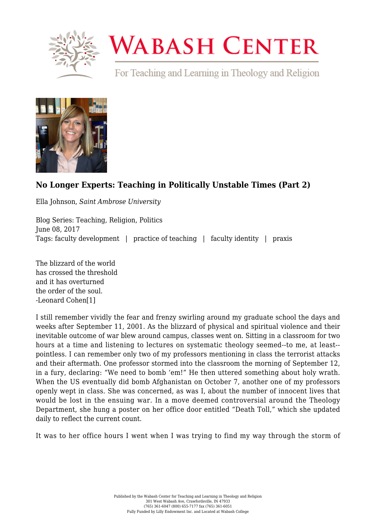

## **WABASH CENTER**

For Teaching and Learning in Theology and Religion



## **[No Longer Experts: Teaching in Politically Unstable Times \(Part 2\)](https://www.wabashcenter.wabash.edu/2017/06/no-longer-experts-teaching-politically-unstable-times-part-2/)**

Ella Johnson, *Saint Ambrose University*

Blog Series: Teaching, Religion, Politics June 08, 2017 Tags: faculty development | practice of teaching | faculty identity | praxis

The blizzard of the world has crossed the threshold and it has overturned the order of the soul. -Leonard Cohe[n\[1\]](#page-2-0)

<span id="page-0-0"></span>I still remember vividly the fear and frenzy swirling around my graduate school the days and weeks after September 11, 2001. As the blizzard of physical and spiritual violence and their inevitable outcome of war blew around campus, classes went on. Sitting in a classroom for two hours at a time and listening to lectures on systematic theology seemed--to me, at least- pointless. I can remember only two of my professors mentioning in class the terrorist attacks and their aftermath. One professor stormed into the classroom the morning of September 12, in a fury, declaring: "We need to bomb 'em!" He then uttered something about holy wrath. When the US eventually did bomb Afghanistan on October 7, another one of my professors openly wept in class. She was concerned, as was I, about the number of innocent lives that would be lost in the ensuing war. In a move deemed controversial around the Theology Department, she hung a poster on her office door entitled "Death Toll," which she updated daily to reflect the current count.

It was to her office hours I went when I was trying to find my way through the storm of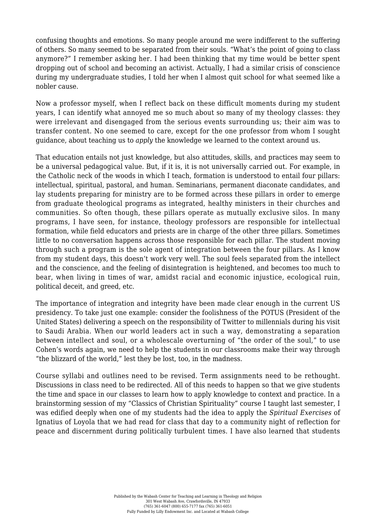confusing thoughts and emotions. So many people around me were indifferent to the suffering of others. So many seemed to be separated from their souls. "What's the point of going to class anymore?" I remember asking her. I had been thinking that my time would be better spent dropping out of school and becoming an activist. Actually, I had a similar crisis of conscience during my undergraduate studies, I told her when I almost quit school for what seemed like a nobler cause.

Now a professor myself, when I reflect back on these difficult moments during my student years, I can identify what annoyed me so much about so many of my theology classes: they were irrelevant and disengaged from the serious events surrounding us; their aim was to transfer content. No one seemed to care, except for the one professor from whom I sought guidance, about teaching us to *apply* the knowledge we learned to the context around us.

That education entails not just knowledge, but also attitudes, skills, and practices may seem to be a universal pedagogical value. But, if it is, it is not universally carried out. For example, in the Catholic neck of the woods in which I teach, formation is understood to entail four pillars: intellectual, spiritual, pastoral, and human. Seminarians, permanent diaconate candidates, and lay students preparing for ministry are to be formed across these pillars in order to emerge from graduate theological programs as integrated, healthy ministers in their churches and communities. So often though, these pillars operate as mutually exclusive silos. In many programs, I have seen, for instance, theology professors are responsible for intellectual formation, while field educators and priests are in charge of the other three pillars. Sometimes little to no conversation happens across those responsible for each pillar. The student moving through such a program is the sole agent of integration between the four pillars. As I know from my student days, this doesn't work very well. The soul feels separated from the intellect and the conscience, and the feeling of disintegration is heightened, and becomes too much to bear, when living in times of war, amidst racial and economic injustice, ecological ruin, political deceit, and greed, etc.

The importance of integration and integrity have been made clear enough in the current US presidency. To take just one example: consider the foolishness of the POTUS (President of the United States) delivering a speech on the responsibility of Twitter to millennials during his visit to Saudi Arabia. When our world leaders act in such a way, demonstrating a separation between intellect and soul, or a wholescale overturning of "the order of the soul," to use Cohen's words again, we need to help the students in our classrooms make their way through "the blizzard of the world," lest they be lost, too, in the madness.

Course syllabi and outlines need to be revised. Term assignments need to be rethought. Discussions in class need to be redirected. All of this needs to happen so that we give students the time and space in our classes to learn how to apply knowledge to context and practice. In a brainstorming session of my "Classics of Christian Spirituality" course I taught last semester, I was edified deeply when one of my students had the idea to apply the *Spiritual Exercises* of Ignatius of Loyola that we had read for class that day to a community night of reflection for peace and discernment during politically turbulent times. I have also learned that students